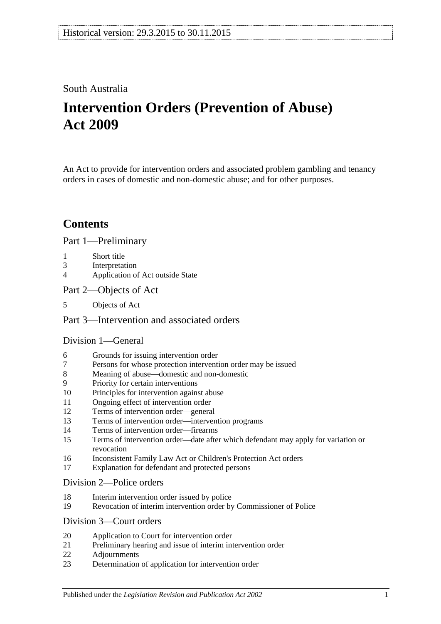## South Australia

# **Intervention Orders (Prevention of Abuse) Act 2009**

An Act to provide for intervention orders and associated problem gambling and tenancy orders in cases of domestic and non-domestic abuse; and for other purposes.

# **Contents**

## [Part 1—Preliminary](#page-2-0)

- 1 [Short title](#page-2-1)
- 3 [Interpretation](#page-2-2)
- 4 [Application of Act outside State](#page-3-0)
- [Part 2—Objects of Act](#page-4-0)
- 5 [Objects of Act](#page-4-1)

## [Part 3—Intervention and associated orders](#page-4-2)

## [Division 1—General](#page-4-3)

- 6 [Grounds for issuing intervention order](#page-4-4)
- 7 [Persons for whose protection intervention order may be issued](#page-4-5)
- 8 [Meaning of abuse—domestic and non-domestic](#page-5-0)
- 9 [Priority for certain interventions](#page-7-0)
- 10 [Principles for intervention against abuse](#page-8-0)
- 11 [Ongoing effect of intervention order](#page-9-0)
- 12 [Terms of intervention order—general](#page-9-1)
- 13 [Terms of intervention order—intervention programs](#page-10-0)
- 14 [Terms of intervention order—firearms](#page-11-0)
- 15 [Terms of intervention order—date after which defendant may apply for variation or](#page-11-1)  [revocation](#page-11-1)
- 16 [Inconsistent Family Law Act or Children's Protection Act orders](#page-11-2)
- 17 [Explanation for defendant and protected persons](#page-12-0)

#### [Division 2—Police orders](#page-12-1)

- 18 [Interim intervention order issued by police](#page-12-2)
- 19 [Revocation of interim intervention order by Commissioner of Police](#page-13-0)

## [Division 3—Court orders](#page-13-1)

- 20 [Application to Court for intervention order](#page-13-2)
- 21 [Preliminary hearing and issue of interim intervention order](#page-14-0)
- 22 [Adjournments](#page-15-0)
- 23 [Determination of application for intervention order](#page-16-0)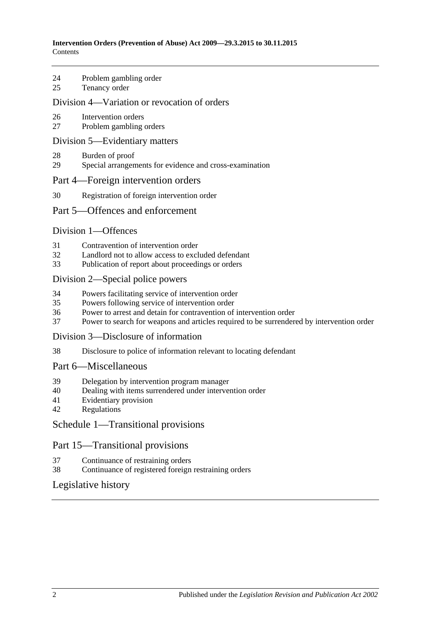- 24 [Problem gambling order](#page-17-0)
- 25 [Tenancy order](#page-17-1)

#### [Division 4—Variation or revocation of orders](#page-19-0)

- 26 [Intervention orders](#page-19-1)
- 27 [Problem gambling orders](#page-20-0)

#### [Division 5—Evidentiary matters](#page-20-1)

- 28 [Burden of proof](#page-20-2)
- 29 [Special arrangements for evidence and cross-examination](#page-20-3)

#### [Part 4—Foreign intervention orders](#page-21-0)

30 [Registration of foreign intervention order](#page-21-1)

#### [Part 5—Offences and enforcement](#page-22-0)

#### [Division 1—Offences](#page-22-1)

- 31 [Contravention of intervention order](#page-22-2)
- 32 [Landlord not to allow access to excluded defendant](#page-22-3)<br>33 Publication of report about proceedings or orders
- [Publication of report about proceedings or orders](#page-23-0)

#### [Division 2—Special police powers](#page-23-1)

- 34 [Powers facilitating service of intervention order](#page-23-2)
- 35 [Powers following service of intervention order](#page-24-0)
- 36 [Power to arrest and detain for contravention of intervention order](#page-24-1)
- 37 [Power to search for weapons and articles required to be surrendered by intervention order](#page-25-0)

#### [Division 3—Disclosure of information](#page-25-1)

38 [Disclosure to police of information relevant to locating defendant](#page-25-2)

#### [Part 6—Miscellaneous](#page-25-3)

- 39 [Delegation by intervention program manager](#page-25-4)
- 40 [Dealing with items surrendered under intervention order](#page-26-0)
- 41 [Evidentiary provision](#page-26-1)
- 42 [Regulations](#page-26-2)

#### [Schedule 1—Transitional provisions](#page-26-3)

#### Part 15—Transitional provisions

- 37 [Continuance of restraining orders](#page-26-4)
- 38 [Continuance of registered foreign restraining orders](#page-26-5)

#### [Legislative history](#page-27-0)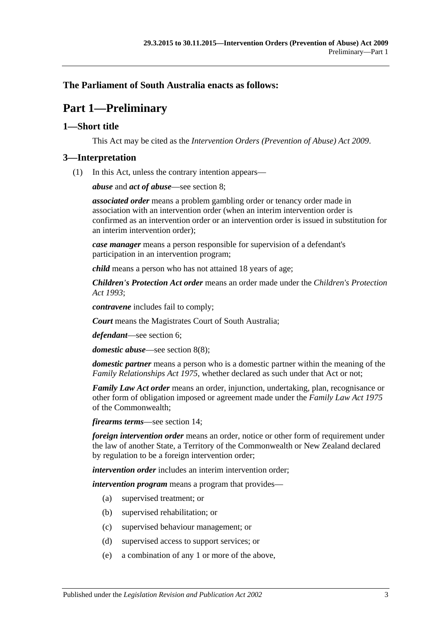## <span id="page-2-0"></span>**The Parliament of South Australia enacts as follows:**

# **Part 1—Preliminary**

## <span id="page-2-1"></span>**1—Short title**

This Act may be cited as the *Intervention Orders (Prevention of Abuse) Act 2009*.

#### <span id="page-2-2"></span>**3—Interpretation**

(1) In this Act, unless the contrary intention appears—

*abuse* and *act of abuse*—see [section](#page-5-0) 8;

*associated order* means a problem gambling order or tenancy order made in association with an intervention order (when an interim intervention order is confirmed as an intervention order or an intervention order is issued in substitution for an interim intervention order);

*case manager* means a person responsible for supervision of a defendant's participation in an intervention program;

*child* means a person who has not attained 18 years of age;

*Children's Protection Act order* means an order made under the *[Children's Protection](http://www.legislation.sa.gov.au/index.aspx?action=legref&type=act&legtitle=Childrens%20Protection%20Act%201993)  Act [1993](http://www.legislation.sa.gov.au/index.aspx?action=legref&type=act&legtitle=Childrens%20Protection%20Act%201993)*;

*contravene* includes fail to comply;

*Court* means the Magistrates Court of South Australia;

*defendant*—see [section](#page-4-4) 6;

*domestic abuse*—see [section](#page-7-1) 8(8);

*domestic partner* means a person who is a domestic partner within the meaning of the *[Family Relationships Act](http://www.legislation.sa.gov.au/index.aspx?action=legref&type=act&legtitle=Family%20Relationships%20Act%201975) 1975*, whether declared as such under that Act or not;

*Family Law Act order* means an order, injunction, undertaking, plan, recognisance or other form of obligation imposed or agreement made under the *Family Law Act 1975* of the Commonwealth;

*firearms terms*—see [section](#page-11-0) 14;

*foreign intervention order* means an order, notice or other form of requirement under the law of another State, a Territory of the Commonwealth or New Zealand declared by regulation to be a foreign intervention order;

*intervention order* includes an interim intervention order;

*intervention program* means a program that provides—

- (a) supervised treatment; or
- (b) supervised rehabilitation; or
- (c) supervised behaviour management; or
- (d) supervised access to support services; or
- (e) a combination of any 1 or more of the above,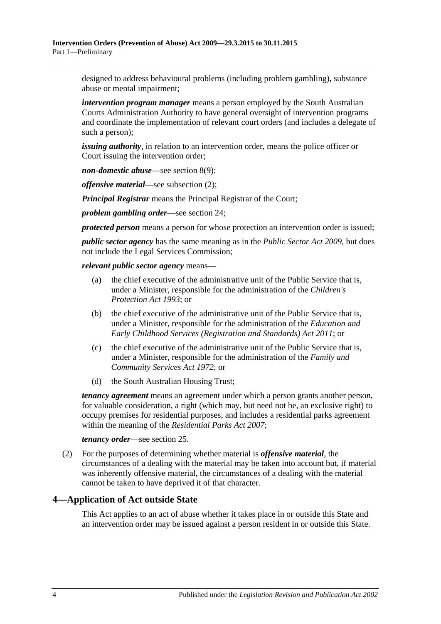designed to address behavioural problems (including problem gambling), substance abuse or mental impairment;

*intervention program manager* means a person employed by the South Australian Courts Administration Authority to have general oversight of intervention programs and coordinate the implementation of relevant court orders (and includes a delegate of such a person);

*issuing authority*, in relation to an intervention order, means the police officer or Court issuing the intervention order;

*non-domestic abuse*—see [section](#page-7-2) 8(9);

*offensive material*—see [subsection](#page-3-1) (2);

*Principal Registrar* means the Principal Registrar of the Court;

*problem gambling order*—see [section](#page-17-0) 24;

*protected person* means a person for whose protection an intervention order is issued;

*public sector agency* has the same meaning as in the *[Public Sector Act](http://www.legislation.sa.gov.au/index.aspx?action=legref&type=act&legtitle=Public%20Sector%20Act%202009) 2009*, but does not include the Legal Services Commission;

*relevant public sector agency* means—

- (a) the chief executive of the administrative unit of the Public Service that is, under a Minister, responsible for the administration of the *[Children's](http://www.legislation.sa.gov.au/index.aspx?action=legref&type=act&legtitle=Childrens%20Protection%20Act%201993)  [Protection Act](http://www.legislation.sa.gov.au/index.aspx?action=legref&type=act&legtitle=Childrens%20Protection%20Act%201993) 1993*; or
- (b) the chief executive of the administrative unit of the Public Service that is, under a Minister, responsible for the administration of the *[Education and](http://www.legislation.sa.gov.au/index.aspx?action=legref&type=act&legtitle=Education%20and%20Early%20Childhood%20Services%20(Registration%20and%20Standards)%20Act%202011)  [Early Childhood Services \(Registration and Standards\) Act](http://www.legislation.sa.gov.au/index.aspx?action=legref&type=act&legtitle=Education%20and%20Early%20Childhood%20Services%20(Registration%20and%20Standards)%20Act%202011) 2011*; or
- (c) the chief executive of the administrative unit of the Public Service that is, under a Minister, responsible for the administration of the *[Family and](http://www.legislation.sa.gov.au/index.aspx?action=legref&type=act&legtitle=Family%20and%20Community%20Services%20Act%201972)  [Community Services Act](http://www.legislation.sa.gov.au/index.aspx?action=legref&type=act&legtitle=Family%20and%20Community%20Services%20Act%201972) 1972*; or
- (d) the South Australian Housing Trust;

*tenancy agreement* means an agreement under which a person grants another person, for valuable consideration, a right (which may, but need not be, an exclusive right) to occupy premises for residential purposes, and includes a residential parks agreement within the meaning of the *[Residential Parks Act](http://www.legislation.sa.gov.au/index.aspx?action=legref&type=act&legtitle=Residential%20Parks%20Act%202007) 2007*;

*tenancy order*—see [section](#page-17-1) 25.

<span id="page-3-1"></span>(2) For the purposes of determining whether material is *offensive material*, the circumstances of a dealing with the material may be taken into account but, if material was inherently offensive material, the circumstances of a dealing with the material cannot be taken to have deprived it of that character.

#### <span id="page-3-0"></span>**4—Application of Act outside State**

This Act applies to an act of abuse whether it takes place in or outside this State and an intervention order may be issued against a person resident in or outside this State.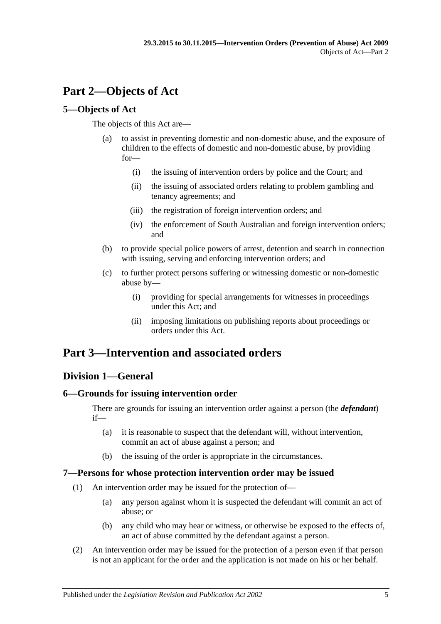# <span id="page-4-0"></span>**Part 2—Objects of Act**

## <span id="page-4-1"></span>**5—Objects of Act**

The objects of this Act are—

- (a) to assist in preventing domestic and non-domestic abuse, and the exposure of children to the effects of domestic and non-domestic abuse, by providing for—
	- (i) the issuing of intervention orders by police and the Court; and
	- (ii) the issuing of associated orders relating to problem gambling and tenancy agreements; and
	- (iii) the registration of foreign intervention orders; and
	- (iv) the enforcement of South Australian and foreign intervention orders; and
- (b) to provide special police powers of arrest, detention and search in connection with issuing, serving and enforcing intervention orders; and
- (c) to further protect persons suffering or witnessing domestic or non-domestic abuse by—
	- (i) providing for special arrangements for witnesses in proceedings under this Act; and
	- (ii) imposing limitations on publishing reports about proceedings or orders under this Act.

# <span id="page-4-2"></span>**Part 3—Intervention and associated orders**

## <span id="page-4-3"></span>**Division 1—General**

## <span id="page-4-4"></span>**6—Grounds for issuing intervention order**

There are grounds for issuing an intervention order against a person (the *defendant*) if—

- (a) it is reasonable to suspect that the defendant will, without intervention, commit an act of abuse against a person; and
- (b) the issuing of the order is appropriate in the circumstances.

## <span id="page-4-5"></span>**7—Persons for whose protection intervention order may be issued**

- (1) An intervention order may be issued for the protection of—
	- (a) any person against whom it is suspected the defendant will commit an act of abuse; or
	- (b) any child who may hear or witness, or otherwise be exposed to the effects of, an act of abuse committed by the defendant against a person.
- (2) An intervention order may be issued for the protection of a person even if that person is not an applicant for the order and the application is not made on his or her behalf.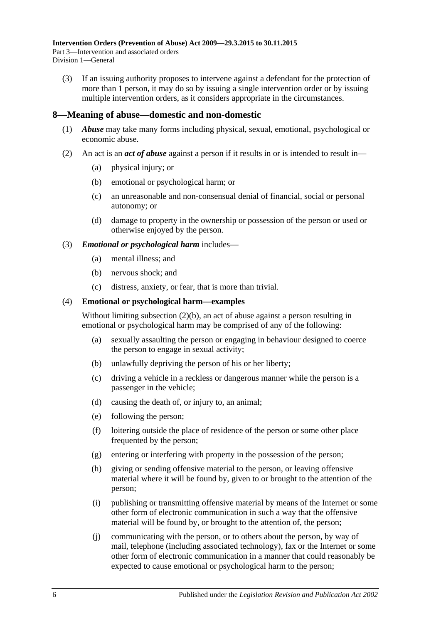(3) If an issuing authority proposes to intervene against a defendant for the protection of more than 1 person, it may do so by issuing a single intervention order or by issuing multiple intervention orders, as it considers appropriate in the circumstances.

#### <span id="page-5-0"></span>**8—Meaning of abuse—domestic and non-domestic**

- (1) *Abuse* may take many forms including physical, sexual, emotional, psychological or economic abuse.
- <span id="page-5-2"></span><span id="page-5-1"></span>(2) An act is an *act of abuse* against a person if it results in or is intended to result in—
	- (a) physical injury; or
	- (b) emotional or psychological harm; or
	- (c) an unreasonable and non-consensual denial of financial, social or personal autonomy; or
	- (d) damage to property in the ownership or possession of the person or used or otherwise enjoyed by the person.

#### (3) *Emotional or psychological harm* includes—

- (a) mental illness; and
- (b) nervous shock; and
- (c) distress, anxiety, or fear, that is more than trivial.

#### (4) **Emotional or psychological harm—examples**

Without limiting [subsection](#page-5-1) (2)(b), an act of abuse against a person resulting in emotional or psychological harm may be comprised of any of the following:

- (a) sexually assaulting the person or engaging in behaviour designed to coerce the person to engage in sexual activity;
- (b) unlawfully depriving the person of his or her liberty;
- (c) driving a vehicle in a reckless or dangerous manner while the person is a passenger in the vehicle;
- (d) causing the death of, or injury to, an animal;
- (e) following the person;
- (f) loitering outside the place of residence of the person or some other place frequented by the person;
- (g) entering or interfering with property in the possession of the person;
- (h) giving or sending offensive material to the person, or leaving offensive material where it will be found by, given to or brought to the attention of the person;
- (i) publishing or transmitting offensive material by means of the Internet or some other form of electronic communication in such a way that the offensive material will be found by, or brought to the attention of, the person;
- (j) communicating with the person, or to others about the person, by way of mail, telephone (including associated technology), fax or the Internet or some other form of electronic communication in a manner that could reasonably be expected to cause emotional or psychological harm to the person;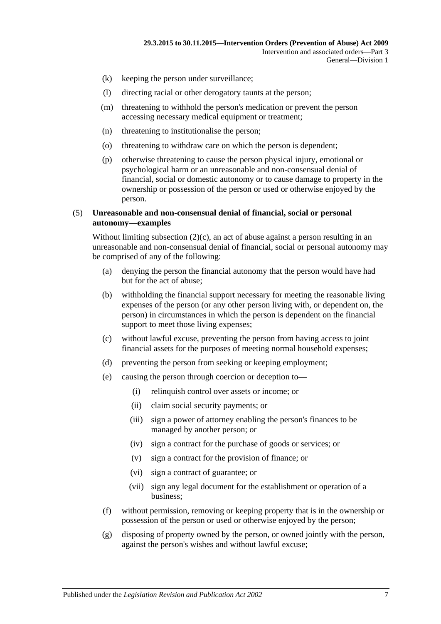- (k) keeping the person under surveillance;
- (l) directing racial or other derogatory taunts at the person;
- (m) threatening to withhold the person's medication or prevent the person accessing necessary medical equipment or treatment;
- (n) threatening to institutionalise the person;
- (o) threatening to withdraw care on which the person is dependent;
- (p) otherwise threatening to cause the person physical injury, emotional or psychological harm or an unreasonable and non-consensual denial of financial, social or domestic autonomy or to cause damage to property in the ownership or possession of the person or used or otherwise enjoyed by the person.

#### (5) **Unreasonable and non-consensual denial of financial, social or personal autonomy—examples**

Without limiting [subsection](#page-5-2)  $(2)(c)$ , an act of abuse against a person resulting in an unreasonable and non-consensual denial of financial, social or personal autonomy may be comprised of any of the following:

- (a) denying the person the financial autonomy that the person would have had but for the act of abuse;
- (b) withholding the financial support necessary for meeting the reasonable living expenses of the person (or any other person living with, or dependent on, the person) in circumstances in which the person is dependent on the financial support to meet those living expenses;
- (c) without lawful excuse, preventing the person from having access to joint financial assets for the purposes of meeting normal household expenses;
- (d) preventing the person from seeking or keeping employment;
- (e) causing the person through coercion or deception to—
	- (i) relinquish control over assets or income; or
	- (ii) claim social security payments; or
	- (iii) sign a power of attorney enabling the person's finances to be managed by another person; or
	- (iv) sign a contract for the purchase of goods or services; or
	- (v) sign a contract for the provision of finance; or
	- (vi) sign a contract of guarantee; or
	- (vii) sign any legal document for the establishment or operation of a business;
- (f) without permission, removing or keeping property that is in the ownership or possession of the person or used or otherwise enjoyed by the person;
- (g) disposing of property owned by the person, or owned jointly with the person, against the person's wishes and without lawful excuse;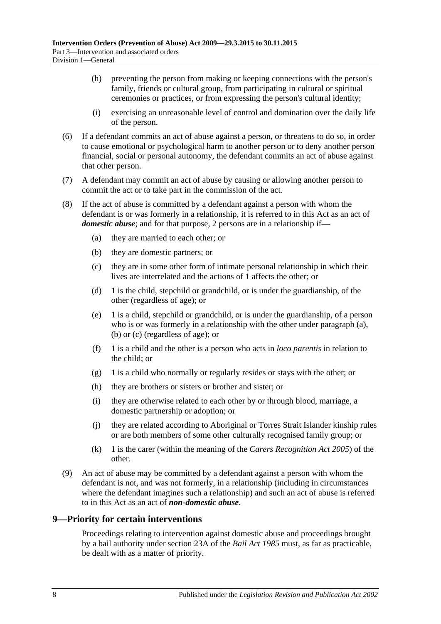- (h) preventing the person from making or keeping connections with the person's family, friends or cultural group, from participating in cultural or spiritual ceremonies or practices, or from expressing the person's cultural identity;
- (i) exercising an unreasonable level of control and domination over the daily life of the person.
- (6) If a defendant commits an act of abuse against a person, or threatens to do so, in order to cause emotional or psychological harm to another person or to deny another person financial, social or personal autonomy, the defendant commits an act of abuse against that other person.
- (7) A defendant may commit an act of abuse by causing or allowing another person to commit the act or to take part in the commission of the act.
- <span id="page-7-5"></span><span id="page-7-4"></span><span id="page-7-3"></span><span id="page-7-1"></span>(8) If the act of abuse is committed by a defendant against a person with whom the defendant is or was formerly in a relationship, it is referred to in this Act as an act of *domestic abuse*; and for that purpose, 2 persons are in a relationship if—
	- (a) they are married to each other; or
	- (b) they are domestic partners; or
	- (c) they are in some other form of intimate personal relationship in which their lives are interrelated and the actions of 1 affects the other; or
	- (d) 1 is the child, stepchild or grandchild, or is under the guardianship, of the other (regardless of age); or
	- (e) 1 is a child, stepchild or grandchild, or is under the guardianship, of a person who is or was formerly in a relationship with the other under [paragraph](#page-7-3) (a), [\(b\)](#page-7-4) or [\(c\)](#page-7-5) (regardless of age); or
	- (f) 1 is a child and the other is a person who acts in *loco parentis* in relation to the child; or
	- (g) 1 is a child who normally or regularly resides or stays with the other; or
	- (h) they are brothers or sisters or brother and sister; or
	- (i) they are otherwise related to each other by or through blood, marriage, a domestic partnership or adoption; or
	- (j) they are related according to Aboriginal or Torres Strait Islander kinship rules or are both members of some other culturally recognised family group; or
	- (k) 1 is the carer (within the meaning of the *[Carers Recognition Act](http://www.legislation.sa.gov.au/index.aspx?action=legref&type=act&legtitle=Carers%20Recognition%20Act%202005) 2005*) of the other.
- <span id="page-7-2"></span>(9) An act of abuse may be committed by a defendant against a person with whom the defendant is not, and was not formerly, in a relationship (including in circumstances where the defendant imagines such a relationship) and such an act of abuse is referred to in this Act as an act of *non-domestic abuse*.

## <span id="page-7-0"></span>**9—Priority for certain interventions**

Proceedings relating to intervention against domestic abuse and proceedings brought by a bail authority under section 23A of the *[Bail Act](http://www.legislation.sa.gov.au/index.aspx?action=legref&type=act&legtitle=Bail%20Act%201985) 1985* must, as far as practicable, be dealt with as a matter of priority.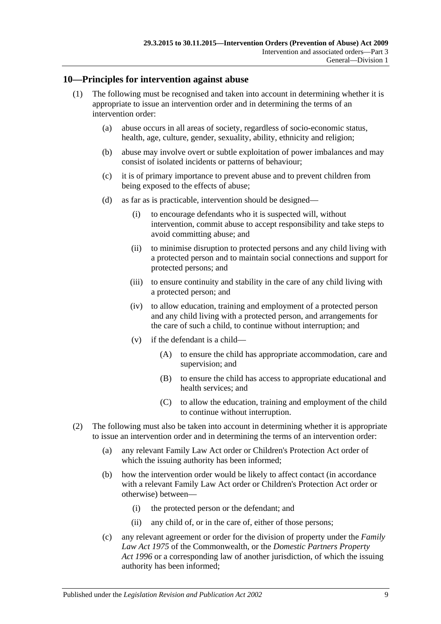## <span id="page-8-0"></span>**10—Principles for intervention against abuse**

- (1) The following must be recognised and taken into account in determining whether it is appropriate to issue an intervention order and in determining the terms of an intervention order:
	- (a) abuse occurs in all areas of society, regardless of socio-economic status, health, age, culture, gender, sexuality, ability, ethnicity and religion;
	- (b) abuse may involve overt or subtle exploitation of power imbalances and may consist of isolated incidents or patterns of behaviour;
	- (c) it is of primary importance to prevent abuse and to prevent children from being exposed to the effects of abuse;
	- (d) as far as is practicable, intervention should be designed—
		- (i) to encourage defendants who it is suspected will, without intervention, commit abuse to accept responsibility and take steps to avoid committing abuse; and
		- (ii) to minimise disruption to protected persons and any child living with a protected person and to maintain social connections and support for protected persons; and
		- (iii) to ensure continuity and stability in the care of any child living with a protected person; and
		- (iv) to allow education, training and employment of a protected person and any child living with a protected person, and arrangements for the care of such a child, to continue without interruption; and
		- (v) if the defendant is a child—
			- (A) to ensure the child has appropriate accommodation, care and supervision; and
			- (B) to ensure the child has access to appropriate educational and health services; and
			- (C) to allow the education, training and employment of the child to continue without interruption.
- (2) The following must also be taken into account in determining whether it is appropriate to issue an intervention order and in determining the terms of an intervention order:
	- (a) any relevant Family Law Act order or Children's Protection Act order of which the issuing authority has been informed;
	- (b) how the intervention order would be likely to affect contact (in accordance with a relevant Family Law Act order or Children's Protection Act order or otherwise) between—
		- (i) the protected person or the defendant; and
		- (ii) any child of, or in the care of, either of those persons;
	- (c) any relevant agreement or order for the division of property under the *Family Law Act 1975* of the Commonwealth, or the *[Domestic Partners Property](http://www.legislation.sa.gov.au/index.aspx?action=legref&type=act&legtitle=Domestic%20Partners%20Property%20Act%201996)  Act [1996](http://www.legislation.sa.gov.au/index.aspx?action=legref&type=act&legtitle=Domestic%20Partners%20Property%20Act%201996)* or a corresponding law of another jurisdiction, of which the issuing authority has been informed;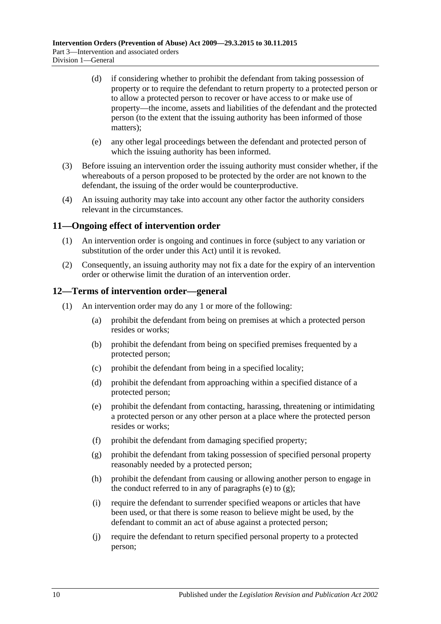- (d) if considering whether to prohibit the defendant from taking possession of property or to require the defendant to return property to a protected person or to allow a protected person to recover or have access to or make use of property—the income, assets and liabilities of the defendant and the protected person (to the extent that the issuing authority has been informed of those matters);
- (e) any other legal proceedings between the defendant and protected person of which the issuing authority has been informed.
- (3) Before issuing an intervention order the issuing authority must consider whether, if the whereabouts of a person proposed to be protected by the order are not known to the defendant, the issuing of the order would be counterproductive.
- (4) An issuing authority may take into account any other factor the authority considers relevant in the circumstances.

#### <span id="page-9-0"></span>**11—Ongoing effect of intervention order**

- (1) An intervention order is ongoing and continues in force (subject to any variation or substitution of the order under this Act) until it is revoked.
- (2) Consequently, an issuing authority may not fix a date for the expiry of an intervention order or otherwise limit the duration of an intervention order.

#### <span id="page-9-1"></span>**12—Terms of intervention order—general**

- <span id="page-9-3"></span><span id="page-9-2"></span>(1) An intervention order may do any 1 or more of the following:
	- (a) prohibit the defendant from being on premises at which a protected person resides or works;
	- (b) prohibit the defendant from being on specified premises frequented by a protected person;
	- (c) prohibit the defendant from being in a specified locality;
	- (d) prohibit the defendant from approaching within a specified distance of a protected person;
	- (e) prohibit the defendant from contacting, harassing, threatening or intimidating a protected person or any other person at a place where the protected person resides or works;
	- (f) prohibit the defendant from damaging specified property;
	- (g) prohibit the defendant from taking possession of specified personal property reasonably needed by a protected person;
	- (h) prohibit the defendant from causing or allowing another person to engage in the conduct referred to in any of [paragraphs](#page-9-2) (e) to  $(g)$ ;
	- (i) require the defendant to surrender specified weapons or articles that have been used, or that there is some reason to believe might be used, by the defendant to commit an act of abuse against a protected person;
	- (j) require the defendant to return specified personal property to a protected person;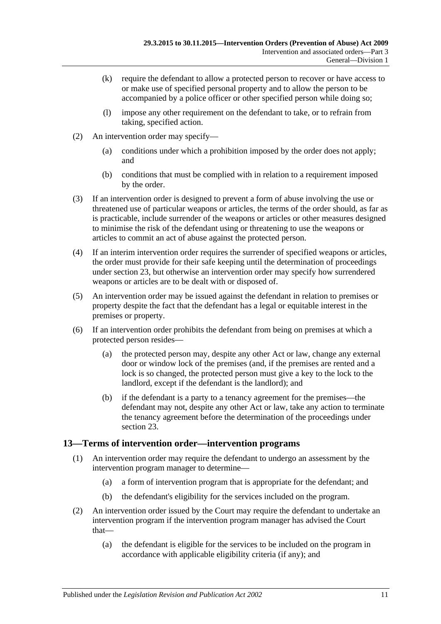- (k) require the defendant to allow a protected person to recover or have access to or make use of specified personal property and to allow the person to be accompanied by a police officer or other specified person while doing so;
- (l) impose any other requirement on the defendant to take, or to refrain from taking, specified action.
- (2) An intervention order may specify—
	- (a) conditions under which a prohibition imposed by the order does not apply; and
	- (b) conditions that must be complied with in relation to a requirement imposed by the order.
- (3) If an intervention order is designed to prevent a form of abuse involving the use or threatened use of particular weapons or articles, the terms of the order should, as far as is practicable, include surrender of the weapons or articles or other measures designed to minimise the risk of the defendant using or threatening to use the weapons or articles to commit an act of abuse against the protected person.
- (4) If an interim intervention order requires the surrender of specified weapons or articles, the order must provide for their safe keeping until the determination of proceedings under [section](#page-16-0) 23, but otherwise an intervention order may specify how surrendered weapons or articles are to be dealt with or disposed of.
- (5) An intervention order may be issued against the defendant in relation to premises or property despite the fact that the defendant has a legal or equitable interest in the premises or property.
- (6) If an intervention order prohibits the defendant from being on premises at which a protected person resides—
	- (a) the protected person may, despite any other Act or law, change any external door or window lock of the premises (and, if the premises are rented and a lock is so changed, the protected person must give a key to the lock to the landlord, except if the defendant is the landlord); and
	- (b) if the defendant is a party to a tenancy agreement for the premises—the defendant may not, despite any other Act or law, take any action to terminate the tenancy agreement before the determination of the proceedings under [section](#page-16-0) 23.

## <span id="page-10-0"></span>**13—Terms of intervention order—intervention programs**

- (1) An intervention order may require the defendant to undergo an assessment by the intervention program manager to determine—
	- (a) a form of intervention program that is appropriate for the defendant; and
	- (b) the defendant's eligibility for the services included on the program.
- (2) An intervention order issued by the Court may require the defendant to undertake an intervention program if the intervention program manager has advised the Court that—
	- (a) the defendant is eligible for the services to be included on the program in accordance with applicable eligibility criteria (if any); and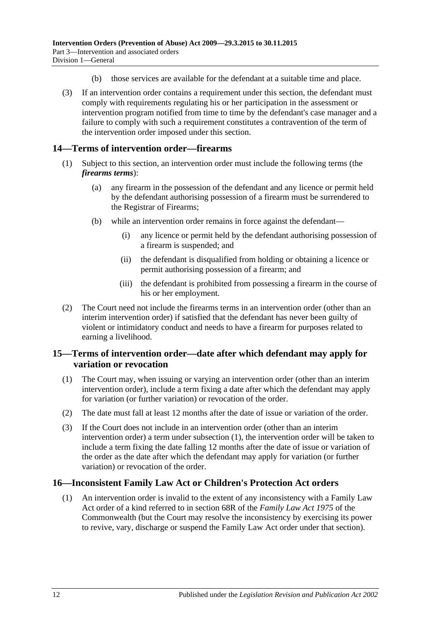- (b) those services are available for the defendant at a suitable time and place.
- (3) If an intervention order contains a requirement under this section, the defendant must comply with requirements regulating his or her participation in the assessment or intervention program notified from time to time by the defendant's case manager and a failure to comply with such a requirement constitutes a contravention of the term of the intervention order imposed under this section.

## <span id="page-11-0"></span>**14—Terms of intervention order—firearms**

- (1) Subject to this section, an intervention order must include the following terms (the *firearms terms*):
	- (a) any firearm in the possession of the defendant and any licence or permit held by the defendant authorising possession of a firearm must be surrendered to the Registrar of Firearms;
	- (b) while an intervention order remains in force against the defendant—
		- (i) any licence or permit held by the defendant authorising possession of a firearm is suspended; and
		- (ii) the defendant is disqualified from holding or obtaining a licence or permit authorising possession of a firearm; and
		- (iii) the defendant is prohibited from possessing a firearm in the course of his or her employment.
- (2) The Court need not include the firearms terms in an intervention order (other than an interim intervention order) if satisfied that the defendant has never been guilty of violent or intimidatory conduct and needs to have a firearm for purposes related to earning a livelihood.

## <span id="page-11-1"></span>**15—Terms of intervention order—date after which defendant may apply for variation or revocation**

- <span id="page-11-3"></span>(1) The Court may, when issuing or varying an intervention order (other than an interim intervention order), include a term fixing a date after which the defendant may apply for variation (or further variation) or revocation of the order.
- (2) The date must fall at least 12 months after the date of issue or variation of the order.
- (3) If the Court does not include in an intervention order (other than an interim intervention order) a term under [subsection](#page-11-3) (1), the intervention order will be taken to include a term fixing the date falling 12 months after the date of issue or variation of the order as the date after which the defendant may apply for variation (or further variation) or revocation of the order.

## <span id="page-11-2"></span>**16—Inconsistent Family Law Act or Children's Protection Act orders**

(1) An intervention order is invalid to the extent of any inconsistency with a Family Law Act order of a kind referred to in section 68R of the *Family Law Act 1975* of the Commonwealth (but the Court may resolve the inconsistency by exercising its power to revive, vary, discharge or suspend the Family Law Act order under that section).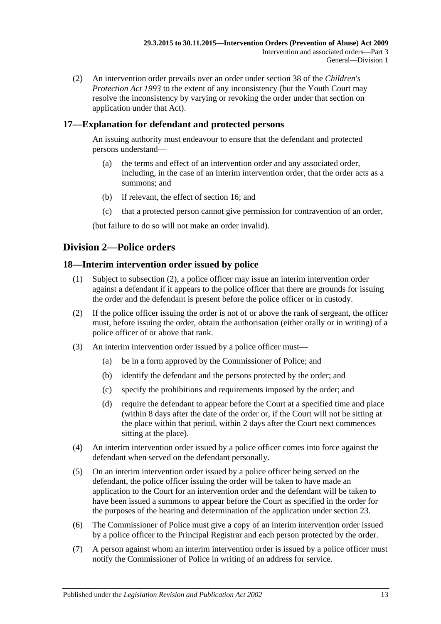(2) An intervention order prevails over an order under section 38 of the *[Children's](http://www.legislation.sa.gov.au/index.aspx?action=legref&type=act&legtitle=Childrens%20Protection%20Act%201993)  [Protection Act](http://www.legislation.sa.gov.au/index.aspx?action=legref&type=act&legtitle=Childrens%20Protection%20Act%201993) 1993* to the extent of any inconsistency (but the Youth Court may resolve the inconsistency by varying or revoking the order under that section on application under that Act).

## <span id="page-12-0"></span>**17—Explanation for defendant and protected persons**

An issuing authority must endeavour to ensure that the defendant and protected persons understand—

- (a) the terms and effect of an intervention order and any associated order, including, in the case of an interim intervention order, that the order acts as a summons; and
- (b) if relevant, the effect of [section](#page-11-2) 16; and
- (c) that a protected person cannot give permission for contravention of an order,

(but failure to do so will not make an order invalid).

## <span id="page-12-1"></span>**Division 2—Police orders**

## <span id="page-12-2"></span>**18—Interim intervention order issued by police**

- (1) Subject to [subsection](#page-12-3) (2), a police officer may issue an interim intervention order against a defendant if it appears to the police officer that there are grounds for issuing the order and the defendant is present before the police officer or in custody.
- <span id="page-12-3"></span>(2) If the police officer issuing the order is not of or above the rank of sergeant, the officer must, before issuing the order, obtain the authorisation (either orally or in writing) of a police officer of or above that rank.
- (3) An interim intervention order issued by a police officer must—
	- (a) be in a form approved by the Commissioner of Police; and
	- (b) identify the defendant and the persons protected by the order; and
	- (c) specify the prohibitions and requirements imposed by the order; and
	- (d) require the defendant to appear before the Court at a specified time and place (within 8 days after the date of the order or, if the Court will not be sitting at the place within that period, within 2 days after the Court next commences sitting at the place).
- (4) An interim intervention order issued by a police officer comes into force against the defendant when served on the defendant personally.
- (5) On an interim intervention order issued by a police officer being served on the defendant, the police officer issuing the order will be taken to have made an application to the Court for an intervention order and the defendant will be taken to have been issued a summons to appear before the Court as specified in the order for the purposes of the hearing and determination of the application under [section](#page-16-0) 23.
- (6) The Commissioner of Police must give a copy of an interim intervention order issued by a police officer to the Principal Registrar and each person protected by the order.
- <span id="page-12-4"></span>(7) A person against whom an interim intervention order is issued by a police officer must notify the Commissioner of Police in writing of an address for service.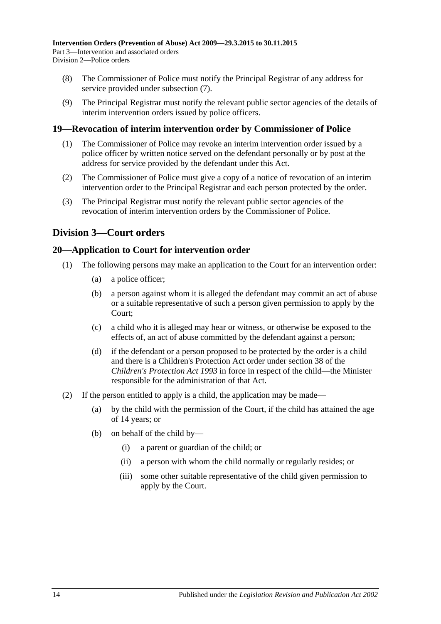- (8) The Commissioner of Police must notify the Principal Registrar of any address for service provided under [subsection](#page-12-4) (7).
- (9) The Principal Registrar must notify the relevant public sector agencies of the details of interim intervention orders issued by police officers.

## <span id="page-13-0"></span>**19—Revocation of interim intervention order by Commissioner of Police**

- (1) The Commissioner of Police may revoke an interim intervention order issued by a police officer by written notice served on the defendant personally or by post at the address for service provided by the defendant under this Act.
- (2) The Commissioner of Police must give a copy of a notice of revocation of an interim intervention order to the Principal Registrar and each person protected by the order.
- (3) The Principal Registrar must notify the relevant public sector agencies of the revocation of interim intervention orders by the Commissioner of Police.

## <span id="page-13-1"></span>**Division 3—Court orders**

## <span id="page-13-2"></span>**20—Application to Court for intervention order**

- (1) The following persons may make an application to the Court for an intervention order:
	- (a) a police officer;
	- (b) a person against whom it is alleged the defendant may commit an act of abuse or a suitable representative of such a person given permission to apply by the Court;
	- (c) a child who it is alleged may hear or witness, or otherwise be exposed to the effects of, an act of abuse committed by the defendant against a person;
	- (d) if the defendant or a person proposed to be protected by the order is a child and there is a Children's Protection Act order under section 38 of the *[Children's Protection Act](http://www.legislation.sa.gov.au/index.aspx?action=legref&type=act&legtitle=Childrens%20Protection%20Act%201993) 1993* in force in respect of the child—the Minister responsible for the administration of that Act.
- (2) If the person entitled to apply is a child, the application may be made—
	- (a) by the child with the permission of the Court, if the child has attained the age of 14 years; or
	- (b) on behalf of the child by—
		- (i) a parent or guardian of the child; or
		- (ii) a person with whom the child normally or regularly resides; or
		- (iii) some other suitable representative of the child given permission to apply by the Court.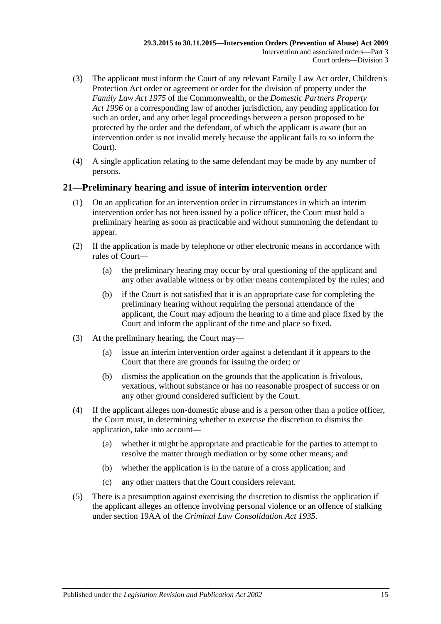- (3) The applicant must inform the Court of any relevant Family Law Act order, Children's Protection Act order or agreement or order for the division of property under the *Family Law Act 1975* of the Commonwealth, or the *[Domestic Partners Property](http://www.legislation.sa.gov.au/index.aspx?action=legref&type=act&legtitle=Domestic%20Partners%20Property%20Act%201996)  Act [1996](http://www.legislation.sa.gov.au/index.aspx?action=legref&type=act&legtitle=Domestic%20Partners%20Property%20Act%201996)* or a corresponding law of another jurisdiction, any pending application for such an order, and any other legal proceedings between a person proposed to be protected by the order and the defendant, of which the applicant is aware (but an intervention order is not invalid merely because the applicant fails to so inform the Court).
- (4) A single application relating to the same defendant may be made by any number of persons.

## <span id="page-14-0"></span>**21—Preliminary hearing and issue of interim intervention order**

- (1) On an application for an intervention order in circumstances in which an interim intervention order has not been issued by a police officer, the Court must hold a preliminary hearing as soon as practicable and without summoning the defendant to appear.
- (2) If the application is made by telephone or other electronic means in accordance with rules of Court—
	- (a) the preliminary hearing may occur by oral questioning of the applicant and any other available witness or by other means contemplated by the rules; and
	- (b) if the Court is not satisfied that it is an appropriate case for completing the preliminary hearing without requiring the personal attendance of the applicant, the Court may adjourn the hearing to a time and place fixed by the Court and inform the applicant of the time and place so fixed.
- (3) At the preliminary hearing, the Court may—
	- (a) issue an interim intervention order against a defendant if it appears to the Court that there are grounds for issuing the order; or
	- (b) dismiss the application on the grounds that the application is frivolous, vexatious, without substance or has no reasonable prospect of success or on any other ground considered sufficient by the Court.
- (4) If the applicant alleges non-domestic abuse and is a person other than a police officer, the Court must, in determining whether to exercise the discretion to dismiss the application, take into account—
	- (a) whether it might be appropriate and practicable for the parties to attempt to resolve the matter through mediation or by some other means; and
	- (b) whether the application is in the nature of a cross application; and
	- (c) any other matters that the Court considers relevant.
- (5) There is a presumption against exercising the discretion to dismiss the application if the applicant alleges an offence involving personal violence or an offence of stalking under section 19AA of the *[Criminal Law Consolidation Act](http://www.legislation.sa.gov.au/index.aspx?action=legref&type=act&legtitle=Criminal%20Law%20Consolidation%20Act%201935) 1935*.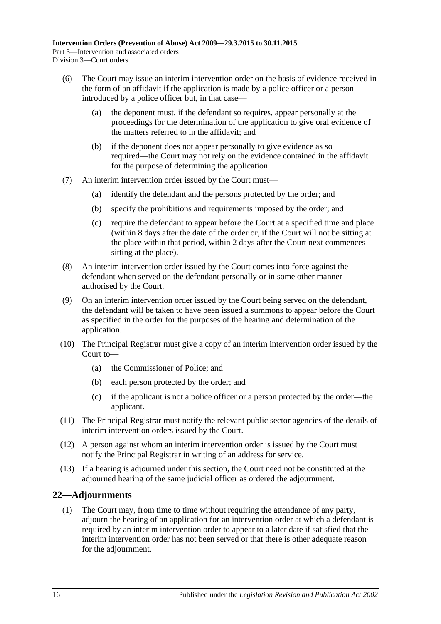- (6) The Court may issue an interim intervention order on the basis of evidence received in the form of an affidavit if the application is made by a police officer or a person introduced by a police officer but, in that case—
	- (a) the deponent must, if the defendant so requires, appear personally at the proceedings for the determination of the application to give oral evidence of the matters referred to in the affidavit; and
	- (b) if the deponent does not appear personally to give evidence as so required—the Court may not rely on the evidence contained in the affidavit for the purpose of determining the application.
- (7) An interim intervention order issued by the Court must—
	- (a) identify the defendant and the persons protected by the order; and
	- (b) specify the prohibitions and requirements imposed by the order; and
	- (c) require the defendant to appear before the Court at a specified time and place (within 8 days after the date of the order or, if the Court will not be sitting at the place within that period, within 2 days after the Court next commences sitting at the place).
- (8) An interim intervention order issued by the Court comes into force against the defendant when served on the defendant personally or in some other manner authorised by the Court.
- (9) On an interim intervention order issued by the Court being served on the defendant, the defendant will be taken to have been issued a summons to appear before the Court as specified in the order for the purposes of the hearing and determination of the application.
- (10) The Principal Registrar must give a copy of an interim intervention order issued by the Court to—
	- (a) the Commissioner of Police; and
	- (b) each person protected by the order; and
	- (c) if the applicant is not a police officer or a person protected by the order—the applicant.
- (11) The Principal Registrar must notify the relevant public sector agencies of the details of interim intervention orders issued by the Court.
- (12) A person against whom an interim intervention order is issued by the Court must notify the Principal Registrar in writing of an address for service.
- (13) If a hearing is adjourned under this section, the Court need not be constituted at the adjourned hearing of the same judicial officer as ordered the adjournment.

## <span id="page-15-0"></span>**22—Adjournments**

(1) The Court may, from time to time without requiring the attendance of any party, adjourn the hearing of an application for an intervention order at which a defendant is required by an interim intervention order to appear to a later date if satisfied that the interim intervention order has not been served or that there is other adequate reason for the adjournment.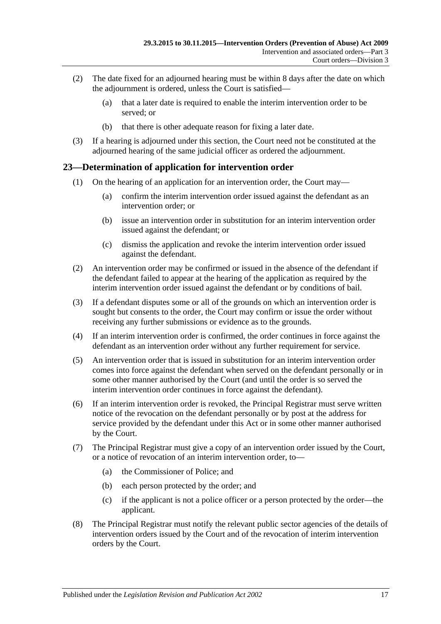- (2) The date fixed for an adjourned hearing must be within 8 days after the date on which the adjournment is ordered, unless the Court is satisfied—
	- (a) that a later date is required to enable the interim intervention order to be served; or
	- (b) that there is other adequate reason for fixing a later date.
- (3) If a hearing is adjourned under this section, the Court need not be constituted at the adjourned hearing of the same judicial officer as ordered the adjournment.

## <span id="page-16-0"></span>**23—Determination of application for intervention order**

- (1) On the hearing of an application for an intervention order, the Court may—
	- (a) confirm the interim intervention order issued against the defendant as an intervention order; or
	- (b) issue an intervention order in substitution for an interim intervention order issued against the defendant; or
	- (c) dismiss the application and revoke the interim intervention order issued against the defendant.
- (2) An intervention order may be confirmed or issued in the absence of the defendant if the defendant failed to appear at the hearing of the application as required by the interim intervention order issued against the defendant or by conditions of bail.
- (3) If a defendant disputes some or all of the grounds on which an intervention order is sought but consents to the order, the Court may confirm or issue the order without receiving any further submissions or evidence as to the grounds.
- (4) If an interim intervention order is confirmed, the order continues in force against the defendant as an intervention order without any further requirement for service.
- (5) An intervention order that is issued in substitution for an interim intervention order comes into force against the defendant when served on the defendant personally or in some other manner authorised by the Court (and until the order is so served the interim intervention order continues in force against the defendant).
- (6) If an interim intervention order is revoked, the Principal Registrar must serve written notice of the revocation on the defendant personally or by post at the address for service provided by the defendant under this Act or in some other manner authorised by the Court.
- (7) The Principal Registrar must give a copy of an intervention order issued by the Court, or a notice of revocation of an interim intervention order, to—
	- (a) the Commissioner of Police; and
	- (b) each person protected by the order; and
	- (c) if the applicant is not a police officer or a person protected by the order—the applicant.
- (8) The Principal Registrar must notify the relevant public sector agencies of the details of intervention orders issued by the Court and of the revocation of interim intervention orders by the Court.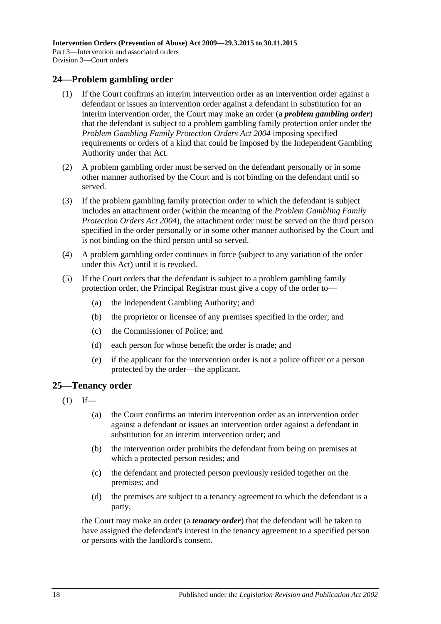## <span id="page-17-0"></span>**24—Problem gambling order**

- (1) If the Court confirms an interim intervention order as an intervention order against a defendant or issues an intervention order against a defendant in substitution for an interim intervention order, the Court may make an order (a *problem gambling order*) that the defendant is subject to a problem gambling family protection order under the *[Problem Gambling Family Protection Orders Act](http://www.legislation.sa.gov.au/index.aspx?action=legref&type=act&legtitle=Problem%20Gambling%20Family%20Protection%20Orders%20Act%202004) 2004* imposing specified requirements or orders of a kind that could be imposed by the Independent Gambling Authority under that Act.
- (2) A problem gambling order must be served on the defendant personally or in some other manner authorised by the Court and is not binding on the defendant until so served.
- (3) If the problem gambling family protection order to which the defendant is subject includes an attachment order (within the meaning of the *[Problem Gambling Family](http://www.legislation.sa.gov.au/index.aspx?action=legref&type=act&legtitle=Problem%20Gambling%20Family%20Protection%20Orders%20Act%202004)  [Protection Orders Act](http://www.legislation.sa.gov.au/index.aspx?action=legref&type=act&legtitle=Problem%20Gambling%20Family%20Protection%20Orders%20Act%202004) 2004*), the attachment order must be served on the third person specified in the order personally or in some other manner authorised by the Court and is not binding on the third person until so served.
- (4) A problem gambling order continues in force (subject to any variation of the order under this Act) until it is revoked.
- (5) If the Court orders that the defendant is subject to a problem gambling family protection order, the Principal Registrar must give a copy of the order to—
	- (a) the Independent Gambling Authority; and
	- (b) the proprietor or licensee of any premises specified in the order; and
	- (c) the Commissioner of Police; and
	- (d) each person for whose benefit the order is made; and
	- (e) if the applicant for the intervention order is not a police officer or a person protected by the order—the applicant.

#### <span id="page-17-1"></span>**25—Tenancy order**

- $(1)$  If—
	- (a) the Court confirms an interim intervention order as an intervention order against a defendant or issues an intervention order against a defendant in substitution for an interim intervention order; and
	- (b) the intervention order prohibits the defendant from being on premises at which a protected person resides; and
	- (c) the defendant and protected person previously resided together on the premises; and
	- (d) the premises are subject to a tenancy agreement to which the defendant is a party,

the Court may make an order (a *tenancy order*) that the defendant will be taken to have assigned the defendant's interest in the tenancy agreement to a specified person or persons with the landlord's consent.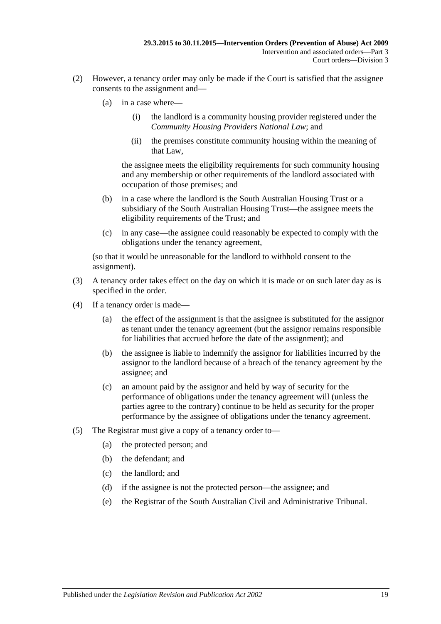- (2) However, a tenancy order may only be made if the Court is satisfied that the assignee consents to the assignment and—
	- (a) in a case where—
		- (i) the landlord is a community housing provider registered under the *Community Housing Providers National Law*; and
		- (ii) the premises constitute community housing within the meaning of that Law,

the assignee meets the eligibility requirements for such community housing and any membership or other requirements of the landlord associated with occupation of those premises; and

- (b) in a case where the landlord is the South Australian Housing Trust or a subsidiary of the South Australian Housing Trust—the assignee meets the eligibility requirements of the Trust; and
- (c) in any case—the assignee could reasonably be expected to comply with the obligations under the tenancy agreement,

(so that it would be unreasonable for the landlord to withhold consent to the assignment).

- (3) A tenancy order takes effect on the day on which it is made or on such later day as is specified in the order.
- (4) If a tenancy order is made—
	- (a) the effect of the assignment is that the assignee is substituted for the assignor as tenant under the tenancy agreement (but the assignor remains responsible for liabilities that accrued before the date of the assignment); and
	- (b) the assignee is liable to indemnify the assignor for liabilities incurred by the assignor to the landlord because of a breach of the tenancy agreement by the assignee; and
	- (c) an amount paid by the assignor and held by way of security for the performance of obligations under the tenancy agreement will (unless the parties agree to the contrary) continue to be held as security for the proper performance by the assignee of obligations under the tenancy agreement.
- (5) The Registrar must give a copy of a tenancy order to—
	- (a) the protected person; and
	- (b) the defendant; and
	- (c) the landlord; and
	- (d) if the assignee is not the protected person—the assignee; and
	- (e) the Registrar of the South Australian Civil and Administrative Tribunal.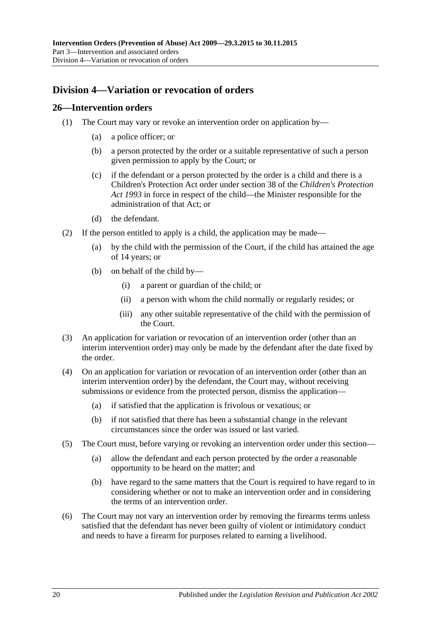# <span id="page-19-0"></span>**Division 4—Variation or revocation of orders**

#### <span id="page-19-1"></span>**26—Intervention orders**

- (1) The Court may vary or revoke an intervention order on application by—
	- (a) a police officer; or
	- (b) a person protected by the order or a suitable representative of such a person given permission to apply by the Court; or
	- (c) if the defendant or a person protected by the order is a child and there is a Children's Protection Act order under section 38 of the *[Children's Protection](http://www.legislation.sa.gov.au/index.aspx?action=legref&type=act&legtitle=Childrens%20Protection%20Act%201993)  Act [1993](http://www.legislation.sa.gov.au/index.aspx?action=legref&type=act&legtitle=Childrens%20Protection%20Act%201993)* in force in respect of the child—the Minister responsible for the administration of that Act; or
	- (d) the defendant.
- (2) If the person entitled to apply is a child, the application may be made—
	- (a) by the child with the permission of the Court, if the child has attained the age of 14 years; or
	- (b) on behalf of the child by—
		- (i) a parent or guardian of the child; or
		- (ii) a person with whom the child normally or regularly resides; or
		- (iii) any other suitable representative of the child with the permission of the Court.
- (3) An application for variation or revocation of an intervention order (other than an interim intervention order) may only be made by the defendant after the date fixed by the order.
- (4) On an application for variation or revocation of an intervention order (other than an interim intervention order) by the defendant, the Court may, without receiving submissions or evidence from the protected person, dismiss the application—
	- (a) if satisfied that the application is frivolous or vexatious; or
	- (b) if not satisfied that there has been a substantial change in the relevant circumstances since the order was issued or last varied.
- (5) The Court must, before varying or revoking an intervention order under this section—
	- (a) allow the defendant and each person protected by the order a reasonable opportunity to be heard on the matter; and
	- (b) have regard to the same matters that the Court is required to have regard to in considering whether or not to make an intervention order and in considering the terms of an intervention order.
- (6) The Court may not vary an intervention order by removing the firearms terms unless satisfied that the defendant has never been guilty of violent or intimidatory conduct and needs to have a firearm for purposes related to earning a livelihood.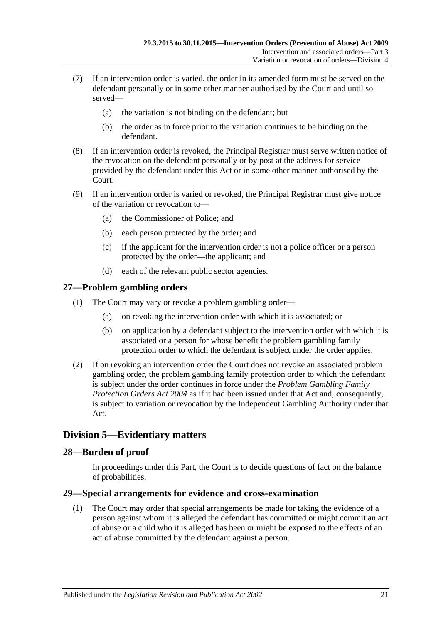- (7) If an intervention order is varied, the order in its amended form must be served on the defendant personally or in some other manner authorised by the Court and until so served—
	- (a) the variation is not binding on the defendant; but
	- (b) the order as in force prior to the variation continues to be binding on the defendant.
- (8) If an intervention order is revoked, the Principal Registrar must serve written notice of the revocation on the defendant personally or by post at the address for service provided by the defendant under this Act or in some other manner authorised by the Court.
- (9) If an intervention order is varied or revoked, the Principal Registrar must give notice of the variation or revocation to—
	- (a) the Commissioner of Police; and
	- (b) each person protected by the order; and
	- (c) if the applicant for the intervention order is not a police officer or a person protected by the order—the applicant; and
	- (d) each of the relevant public sector agencies.

## <span id="page-20-0"></span>**27—Problem gambling orders**

- (1) The Court may vary or revoke a problem gambling order—
	- (a) on revoking the intervention order with which it is associated; or
	- (b) on application by a defendant subject to the intervention order with which it is associated or a person for whose benefit the problem gambling family protection order to which the defendant is subject under the order applies.
- (2) If on revoking an intervention order the Court does not revoke an associated problem gambling order, the problem gambling family protection order to which the defendant is subject under the order continues in force under the *[Problem Gambling Family](http://www.legislation.sa.gov.au/index.aspx?action=legref&type=act&legtitle=Problem%20Gambling%20Family%20Protection%20Orders%20Act%202004)  [Protection Orders Act](http://www.legislation.sa.gov.au/index.aspx?action=legref&type=act&legtitle=Problem%20Gambling%20Family%20Protection%20Orders%20Act%202004) 2004* as if it had been issued under that Act and, consequently, is subject to variation or revocation by the Independent Gambling Authority under that Act.

## <span id="page-20-1"></span>**Division 5—Evidentiary matters**

## <span id="page-20-2"></span>**28—Burden of proof**

In proceedings under this Part, the Court is to decide questions of fact on the balance of probabilities.

## <span id="page-20-3"></span>**29—Special arrangements for evidence and cross-examination**

(1) The Court may order that special arrangements be made for taking the evidence of a person against whom it is alleged the defendant has committed or might commit an act of abuse or a child who it is alleged has been or might be exposed to the effects of an act of abuse committed by the defendant against a person.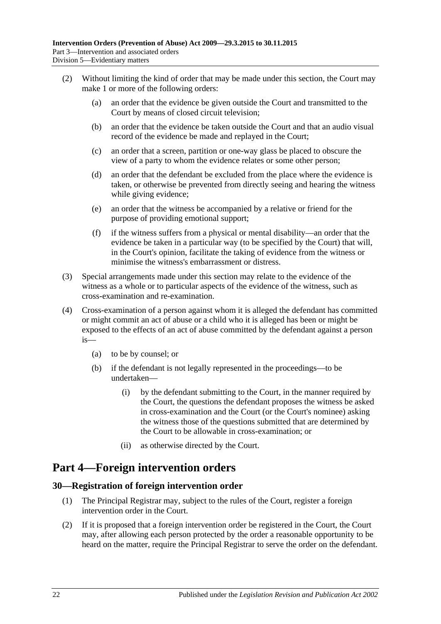- (2) Without limiting the kind of order that may be made under this section, the Court may make 1 or more of the following orders:
	- (a) an order that the evidence be given outside the Court and transmitted to the Court by means of closed circuit television;
	- (b) an order that the evidence be taken outside the Court and that an audio visual record of the evidence be made and replayed in the Court;
	- (c) an order that a screen, partition or one-way glass be placed to obscure the view of a party to whom the evidence relates or some other person;
	- (d) an order that the defendant be excluded from the place where the evidence is taken, or otherwise be prevented from directly seeing and hearing the witness while giving evidence;
	- (e) an order that the witness be accompanied by a relative or friend for the purpose of providing emotional support;
	- (f) if the witness suffers from a physical or mental disability—an order that the evidence be taken in a particular way (to be specified by the Court) that will, in the Court's opinion, facilitate the taking of evidence from the witness or minimise the witness's embarrassment or distress.
- (3) Special arrangements made under this section may relate to the evidence of the witness as a whole or to particular aspects of the evidence of the witness, such as cross-examination and re-examination.
- (4) Cross-examination of a person against whom it is alleged the defendant has committed or might commit an act of abuse or a child who it is alleged has been or might be exposed to the effects of an act of abuse committed by the defendant against a person is—
	- (a) to be by counsel; or
	- (b) if the defendant is not legally represented in the proceedings—to be undertaken—
		- (i) by the defendant submitting to the Court, in the manner required by the Court, the questions the defendant proposes the witness be asked in cross-examination and the Court (or the Court's nominee) asking the witness those of the questions submitted that are determined by the Court to be allowable in cross-examination; or
		- (ii) as otherwise directed by the Court.

# <span id="page-21-0"></span>**Part 4—Foreign intervention orders**

## <span id="page-21-1"></span>**30—Registration of foreign intervention order**

- (1) The Principal Registrar may, subject to the rules of the Court, register a foreign intervention order in the Court.
- (2) If it is proposed that a foreign intervention order be registered in the Court, the Court may, after allowing each person protected by the order a reasonable opportunity to be heard on the matter, require the Principal Registrar to serve the order on the defendant.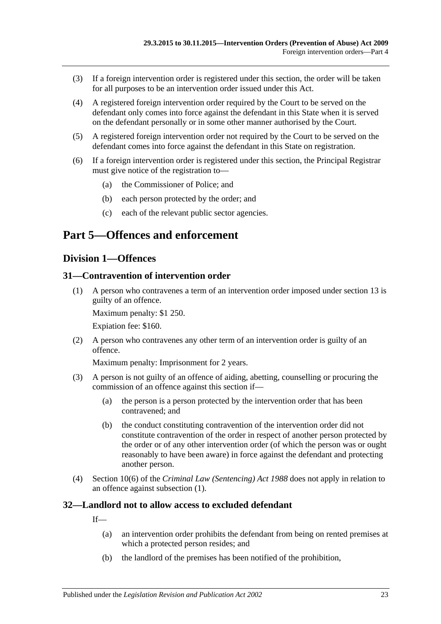- (3) If a foreign intervention order is registered under this section, the order will be taken for all purposes to be an intervention order issued under this Act.
- (4) A registered foreign intervention order required by the Court to be served on the defendant only comes into force against the defendant in this State when it is served on the defendant personally or in some other manner authorised by the Court.
- (5) A registered foreign intervention order not required by the Court to be served on the defendant comes into force against the defendant in this State on registration.
- (6) If a foreign intervention order is registered under this section, the Principal Registrar must give notice of the registration to—
	- (a) the Commissioner of Police; and
	- (b) each person protected by the order; and
	- (c) each of the relevant public sector agencies.

# <span id="page-22-1"></span><span id="page-22-0"></span>**Part 5—Offences and enforcement**

#### **Division 1—Offences**

#### <span id="page-22-4"></span><span id="page-22-2"></span>**31—Contravention of intervention order**

(1) A person who contravenes a term of an intervention order imposed under [section](#page-10-0) 13 is guilty of an offence.

Maximum penalty: \$1 250.

Expiation fee: \$160.

(2) A person who contravenes any other term of an intervention order is guilty of an offence.

Maximum penalty: Imprisonment for 2 years.

- (3) A person is not guilty of an offence of aiding, abetting, counselling or procuring the commission of an offence against this section if—
	- (a) the person is a person protected by the intervention order that has been contravened; and
	- (b) the conduct constituting contravention of the intervention order did not constitute contravention of the order in respect of another person protected by the order or of any other intervention order (of which the person was or ought reasonably to have been aware) in force against the defendant and protecting another person.
- (4) Section 10(6) of the *[Criminal Law \(Sentencing\) Act](http://www.legislation.sa.gov.au/index.aspx?action=legref&type=act&legtitle=Criminal%20Law%20(Sentencing)%20Act%201988) 1988* does not apply in relation to an offence against [subsection](#page-22-4) (1).

## <span id="page-22-3"></span>**32—Landlord not to allow access to excluded defendant**

If—

- (a) an intervention order prohibits the defendant from being on rented premises at which a protected person resides; and
- (b) the landlord of the premises has been notified of the prohibition,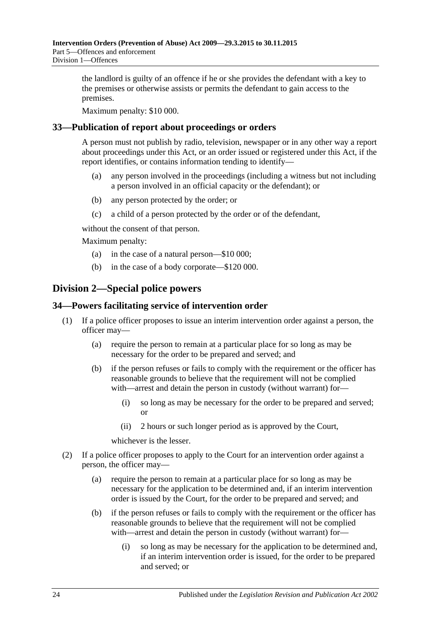the landlord is guilty of an offence if he or she provides the defendant with a key to the premises or otherwise assists or permits the defendant to gain access to the premises.

Maximum penalty: \$10 000.

## <span id="page-23-0"></span>**33—Publication of report about proceedings or orders**

A person must not publish by radio, television, newspaper or in any other way a report about proceedings under this Act, or an order issued or registered under this Act, if the report identifies, or contains information tending to identify—

- (a) any person involved in the proceedings (including a witness but not including a person involved in an official capacity or the defendant); or
- (b) any person protected by the order; or
- (c) a child of a person protected by the order or of the defendant,

without the consent of that person.

Maximum penalty:

- (a) in the case of a natural person—\$10 000;
- (b) in the case of a body corporate—\$120 000.

# <span id="page-23-1"></span>**Division 2—Special police powers**

## <span id="page-23-2"></span>**34—Powers facilitating service of intervention order**

- (1) If a police officer proposes to issue an interim intervention order against a person, the officer may—
	- (a) require the person to remain at a particular place for so long as may be necessary for the order to be prepared and served; and
	- (b) if the person refuses or fails to comply with the requirement or the officer has reasonable grounds to believe that the requirement will not be complied with—arrest and detain the person in custody (without warrant) for—
		- (i) so long as may be necessary for the order to be prepared and served; or
		- (ii) 2 hours or such longer period as is approved by the Court,

whichever is the lesser.

- (2) If a police officer proposes to apply to the Court for an intervention order against a person, the officer may—
	- (a) require the person to remain at a particular place for so long as may be necessary for the application to be determined and, if an interim intervention order is issued by the Court, for the order to be prepared and served; and
	- (b) if the person refuses or fails to comply with the requirement or the officer has reasonable grounds to believe that the requirement will not be complied with—arrest and detain the person in custody (without warrant) for—
		- (i) so long as may be necessary for the application to be determined and, if an interim intervention order is issued, for the order to be prepared and served; or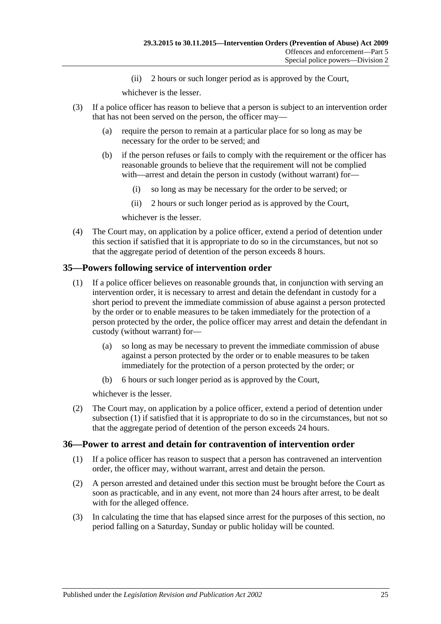(ii) 2 hours or such longer period as is approved by the Court,

whichever is the lesser.

- (3) If a police officer has reason to believe that a person is subject to an intervention order that has not been served on the person, the officer may—
	- (a) require the person to remain at a particular place for so long as may be necessary for the order to be served; and
	- (b) if the person refuses or fails to comply with the requirement or the officer has reasonable grounds to believe that the requirement will not be complied with—arrest and detain the person in custody (without warrant) for—
		- (i) so long as may be necessary for the order to be served; or
		- (ii) 2 hours or such longer period as is approved by the Court,

whichever is the lesser.

(4) The Court may, on application by a police officer, extend a period of detention under this section if satisfied that it is appropriate to do so in the circumstances, but not so that the aggregate period of detention of the person exceeds 8 hours.

## <span id="page-24-2"></span><span id="page-24-0"></span>**35—Powers following service of intervention order**

- (1) If a police officer believes on reasonable grounds that, in conjunction with serving an intervention order, it is necessary to arrest and detain the defendant in custody for a short period to prevent the immediate commission of abuse against a person protected by the order or to enable measures to be taken immediately for the protection of a person protected by the order, the police officer may arrest and detain the defendant in custody (without warrant) for—
	- (a) so long as may be necessary to prevent the immediate commission of abuse against a person protected by the order or to enable measures to be taken immediately for the protection of a person protected by the order; or
	- (b) 6 hours or such longer period as is approved by the Court,

whichever is the lesser.

(2) The Court may, on application by a police officer, extend a period of detention under [subsection](#page-24-2) (1) if satisfied that it is appropriate to do so in the circumstances, but not so that the aggregate period of detention of the person exceeds 24 hours.

## <span id="page-24-1"></span>**36—Power to arrest and detain for contravention of intervention order**

- (1) If a police officer has reason to suspect that a person has contravened an intervention order, the officer may, without warrant, arrest and detain the person.
- (2) A person arrested and detained under this section must be brought before the Court as soon as practicable, and in any event, not more than 24 hours after arrest, to be dealt with for the alleged offence.
- (3) In calculating the time that has elapsed since arrest for the purposes of this section, no period falling on a Saturday, Sunday or public holiday will be counted.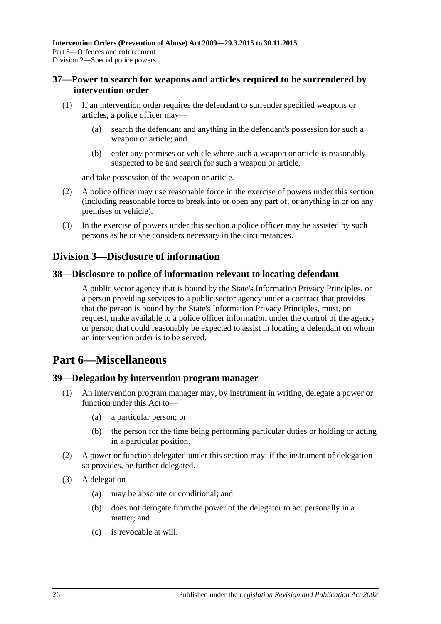## <span id="page-25-0"></span>**37—Power to search for weapons and articles required to be surrendered by intervention order**

- (1) If an intervention order requires the defendant to surrender specified weapons or articles, a police officer may—
	- (a) search the defendant and anything in the defendant's possession for such a weapon or article; and
	- (b) enter any premises or vehicle where such a weapon or article is reasonably suspected to be and search for such a weapon or article,

and take possession of the weapon or article.

- (2) A police officer may use reasonable force in the exercise of powers under this section (including reasonable force to break into or open any part of, or anything in or on any premises or vehicle).
- (3) In the exercise of powers under this section a police officer may be assisted by such persons as he or she considers necessary in the circumstances.

## <span id="page-25-1"></span>**Division 3—Disclosure of information**

#### <span id="page-25-2"></span>**38—Disclosure to police of information relevant to locating defendant**

A public sector agency that is bound by the State's Information Privacy Principles, or a person providing services to a public sector agency under a contract that provides that the person is bound by the State's Information Privacy Principles, must, on request, make available to a police officer information under the control of the agency or person that could reasonably be expected to assist in locating a defendant on whom an intervention order is to be served.

# <span id="page-25-3"></span>**Part 6—Miscellaneous**

#### <span id="page-25-4"></span>**39—Delegation by intervention program manager**

- (1) An intervention program manager may, by instrument in writing, delegate a power or function under this Act to—
	- (a) a particular person; or
	- (b) the person for the time being performing particular duties or holding or acting in a particular position.
- (2) A power or function delegated under this section may, if the instrument of delegation so provides, be further delegated.
- (3) A delegation—
	- (a) may be absolute or conditional; and
	- (b) does not derogate from the power of the delegator to act personally in a matter; and
	- (c) is revocable at will.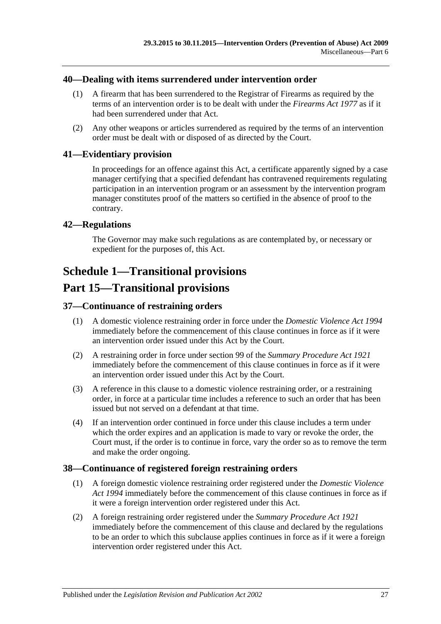#### <span id="page-26-0"></span>**40—Dealing with items surrendered under intervention order**

- (1) A firearm that has been surrendered to the Registrar of Firearms as required by the terms of an intervention order is to be dealt with under the *[Firearms Act](http://www.legislation.sa.gov.au/index.aspx?action=legref&type=act&legtitle=Firearms%20Act%201977) 1977* as if it had been surrendered under that Act.
- (2) Any other weapons or articles surrendered as required by the terms of an intervention order must be dealt with or disposed of as directed by the Court.

#### <span id="page-26-1"></span>**41—Evidentiary provision**

In proceedings for an offence against this Act, a certificate apparently signed by a case manager certifying that a specified defendant has contravened requirements regulating participation in an intervention program or an assessment by the intervention program manager constitutes proof of the matters so certified in the absence of proof to the contrary.

#### <span id="page-26-2"></span>**42—Regulations**

The Governor may make such regulations as are contemplated by, or necessary or expedient for the purposes of, this Act.

# <span id="page-26-3"></span>**Schedule 1—Transitional provisions**

# **Part 15—Transitional provisions**

## <span id="page-26-4"></span>**37—Continuance of restraining orders**

- (1) A domestic violence restraining order in force under the *[Domestic Violence Act](http://www.legislation.sa.gov.au/index.aspx?action=legref&type=act&legtitle=Domestic%20Violence%20Act%201994) 1994* immediately before the commencement of this clause continues in force as if it were an intervention order issued under this Act by the Court.
- (2) A restraining order in force under section 99 of the *[Summary Procedure Act](http://www.legislation.sa.gov.au/index.aspx?action=legref&type=act&legtitle=Summary%20Procedure%20Act%201921) 1921* immediately before the commencement of this clause continues in force as if it were an intervention order issued under this Act by the Court.
- (3) A reference in this clause to a domestic violence restraining order, or a restraining order, in force at a particular time includes a reference to such an order that has been issued but not served on a defendant at that time.
- (4) If an intervention order continued in force under this clause includes a term under which the order expires and an application is made to vary or revoke the order, the Court must, if the order is to continue in force, vary the order so as to remove the term and make the order ongoing.

## <span id="page-26-5"></span>**38—Continuance of registered foreign restraining orders**

- (1) A foreign domestic violence restraining order registered under the *[Domestic Violence](http://www.legislation.sa.gov.au/index.aspx?action=legref&type=act&legtitle=Domestic%20Violence%20Act%201994)  Act [1994](http://www.legislation.sa.gov.au/index.aspx?action=legref&type=act&legtitle=Domestic%20Violence%20Act%201994)* immediately before the commencement of this clause continues in force as if it were a foreign intervention order registered under this Act.
- (2) A foreign restraining order registered under the *[Summary Procedure Act](http://www.legislation.sa.gov.au/index.aspx?action=legref&type=act&legtitle=Summary%20Procedure%20Act%201921) 1921* immediately before the commencement of this clause and declared by the regulations to be an order to which this subclause applies continues in force as if it were a foreign intervention order registered under this Act.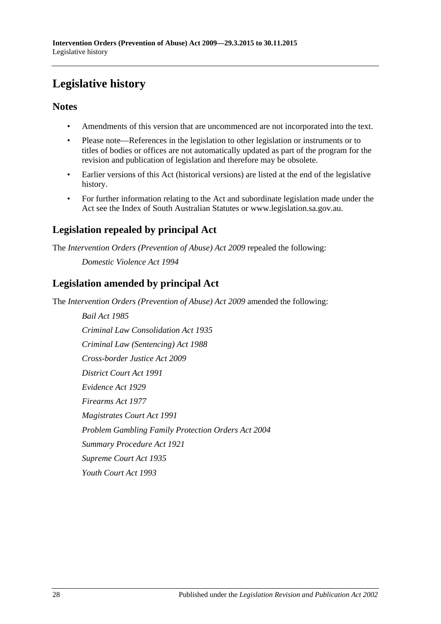# <span id="page-27-0"></span>**Legislative history**

## **Notes**

- Amendments of this version that are uncommenced are not incorporated into the text.
- Please note—References in the legislation to other legislation or instruments or to titles of bodies or offices are not automatically updated as part of the program for the revision and publication of legislation and therefore may be obsolete.
- Earlier versions of this Act (historical versions) are listed at the end of the legislative history.
- For further information relating to the Act and subordinate legislation made under the Act see the Index of South Australian Statutes or www.legislation.sa.gov.au.

# **Legislation repealed by principal Act**

The *Intervention Orders (Prevention of Abuse) Act 2009* repealed the following:

*Domestic Violence Act 1994*

# **Legislation amended by principal Act**

The *Intervention Orders (Prevention of Abuse) Act 2009* amended the following:

*Bail Act 1985 Criminal Law Consolidation Act 1935 Criminal Law (Sentencing) Act 1988 Cross-border Justice Act 2009 District Court Act 1991 Evidence Act 1929 Firearms Act 1977 Magistrates Court Act 1991 Problem Gambling Family Protection Orders Act 2004 Summary Procedure Act 1921 Supreme Court Act 1935 Youth Court Act 1993*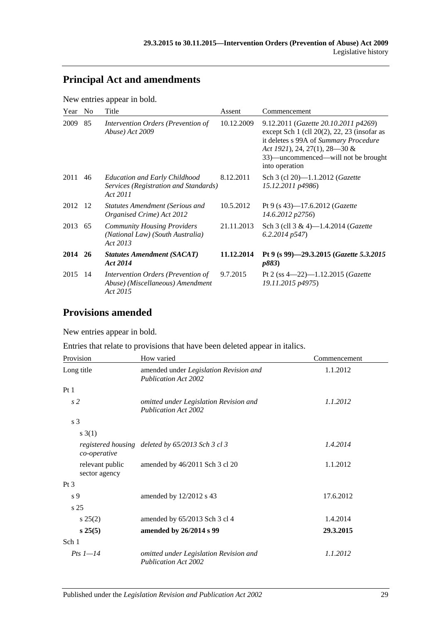# **Principal Act and amendments**

New entries appear in bold.

| Year    | N <sub>o</sub> | Title                                                                                     | Assent     | Commencement                                                                                                                                                                                                                |
|---------|----------------|-------------------------------------------------------------------------------------------|------------|-----------------------------------------------------------------------------------------------------------------------------------------------------------------------------------------------------------------------------|
| 2009    | 85             | Intervention Orders (Prevention of<br>Abuse) Act 2009                                     | 10.12.2009 | 9.12.2011 (Gazette 20.10.2011 p4269)<br>except Sch $1$ (cll $20(2)$ , 22, 23 (insofar as<br>it deletes s 99A of Summary Procedure<br>Act 1921), 24, 27(1), 28–30 &<br>33)—uncommenced—will not be brought<br>into operation |
| 2011    | 46             | <b>Education and Early Childhood</b><br>Services (Registration and Standards)<br>Act 2011 | 8.12.2011  | Sch 3 (cl 20)-1.1.2012 ( <i>Gazette</i><br>15.12.2011 p4986)                                                                                                                                                                |
| 2012    | - 12           | <b>Statutes Amendment (Serious and</b><br>Organised Crime) Act 2012                       | 10.5.2012  | Pt 9 (s 43)—17.6.2012 ( <i>Gazette</i><br>14.6.2012 p2756)                                                                                                                                                                  |
| 2013 65 |                | <b>Community Housing Providers</b><br>(National Law) (South Australia)<br>Act 2013        | 21.11.2013 | Sch 3 (cll 3 & 4)-1.4.2014 ( <i>Gazette</i><br>$6.2.2014$ $p547$ )                                                                                                                                                          |
| 2014 26 |                | <b>Statutes Amendment (SACAT)</b><br>Act 2014                                             | 11.12.2014 | Pt 9 (s 99)-29.3.2015 (Gazette 5.3.2015<br><i>p883</i> )                                                                                                                                                                    |
| 2015    | -14            | Intervention Orders (Prevention of<br>Abuse) (Miscellaneous) Amendment<br>Act 2015        | 9.7.2015   | Pt 2 (ss $4-22$ )-1.12.2015 ( <i>Gazette</i><br>19.11.2015 p4975)                                                                                                                                                           |

# **Provisions amended**

New entries appear in bold.

Entries that relate to provisions that have been deleted appear in italics.

| Provision                        | How varied                                                            | Commencement |
|----------------------------------|-----------------------------------------------------------------------|--------------|
| Long title                       | amended under Legislation Revision and<br><b>Publication Act 2002</b> | 1.1.2012     |
| Pt1                              |                                                                       |              |
| s <sub>2</sub>                   | omitted under Legislation Revision and<br><b>Publication Act 2002</b> | 1.1.2012     |
| s <sub>3</sub>                   |                                                                       |              |
| s(3(1))                          |                                                                       |              |
| co-operative                     | registered housing deleted by 65/2013 Sch 3 cl 3                      | 1.4.2014     |
| relevant public<br>sector agency | amended by 46/2011 Sch 3 cl 20                                        | 1.1.2012     |
| $Pt\,3$                          |                                                                       |              |
| s 9                              | amended by 12/2012 s 43                                               | 17.6.2012    |
| s <sub>25</sub>                  |                                                                       |              |
| $s\,25(2)$                       | amended by 65/2013 Sch 3 cl 4                                         | 1.4.2014     |
| s 25(5)                          | amended by 26/2014 s 99                                               | 29.3.2015    |
| Sch 1                            |                                                                       |              |
| Pts $1-14$                       | omitted under Legislation Revision and<br><b>Publication Act 2002</b> | 1.1.2012     |